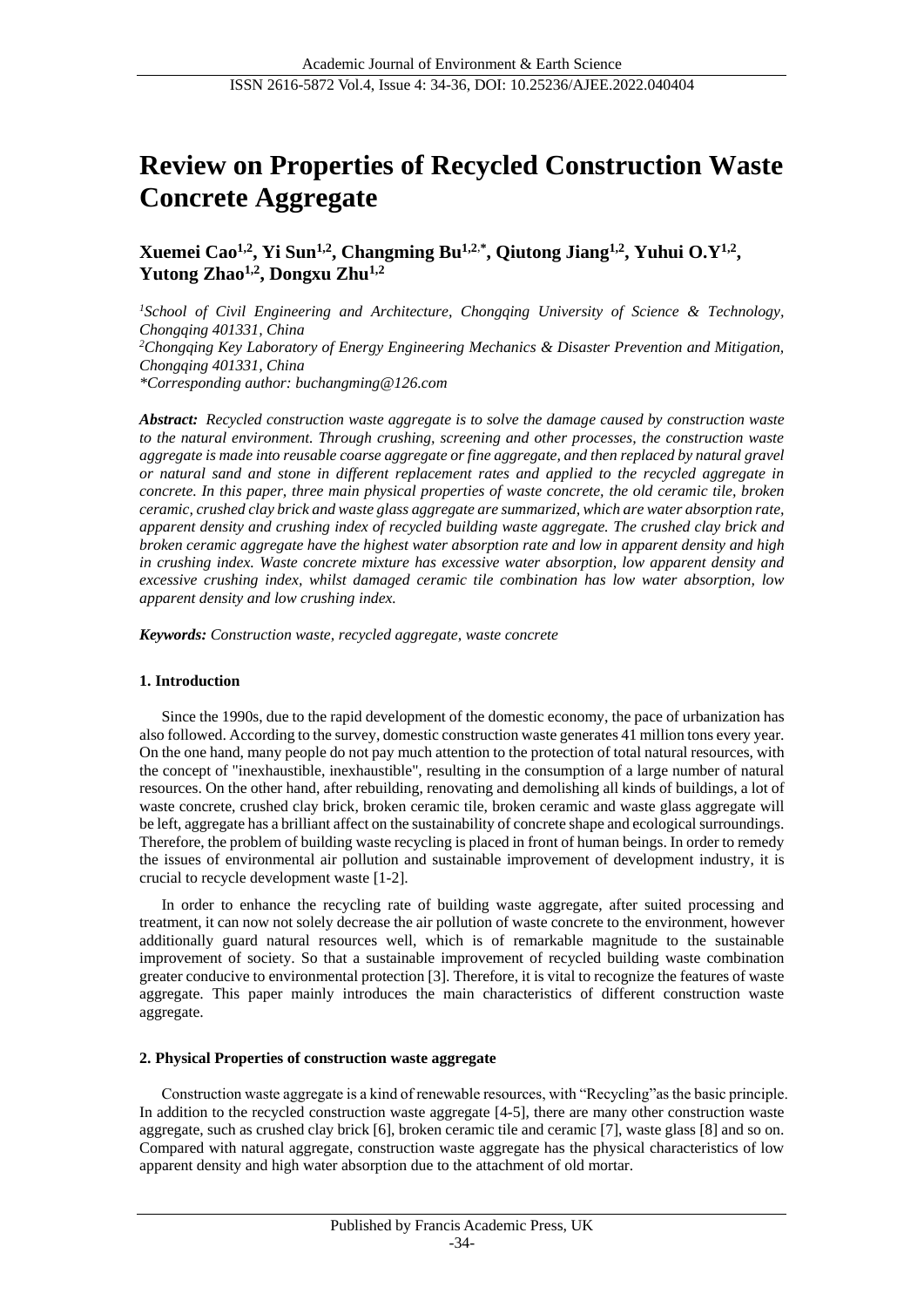# **Review on Properties of Recycled Construction Waste Concrete Aggregate**

**Xuemei Cao1,2, Yi Sun1,2, Changming Bu1,2**,**\* , Qiutong Jiang1,2 , Yuhui O.Y1,2 , Yutong Zhao1,2 , Dongxu Zhu1,2**

*<sup>1</sup>School of Civil Engineering and Architecture, Chongqing University of Science & Technology, Chongqing 401331, China <sup>2</sup>Chongqing Key Laboratory of Energy Engineering Mechanics & Disaster Prevention and Mitigation, Chongqing 401331, China \*Corresponding author: buchangming@126.com*

*Abstract: Recycled construction waste aggregate is to solve the damage caused by construction waste to the natural environment. Through crushing, screening and other processes, the construction waste aggregate is made into reusable coarse aggregate or fine aggregate, and then replaced by natural gravel or natural sand and stone in different replacement rates and applied to the recycled aggregate in concrete. In this paper, three main physical properties of waste concrete, the old ceramic tile, broken ceramic, crushed clay brick and waste glass aggregate are summarized, which are water absorption rate, apparent density and crushing index of recycled building waste aggregate. The crushed clay brick and broken ceramic aggregate have the highest water absorption rate and low in apparent density and high in crushing index. Waste concrete mixture has excessive water absorption, low apparent density and excessive crushing index, whilst damaged ceramic tile combination has low water absorption, low apparent density and low crushing index.*

*Keywords: Construction waste, recycled aggregate, waste concrete*

#### **1. Introduction**

Since the 1990s, due to the rapid development of the domestic economy, the pace of urbanization has also followed. According to the survey, domestic construction waste generates 41 million tons every year. On the one hand, many people do not pay much attention to the protection of total natural resources, with the concept of "inexhaustible, inexhaustible", resulting in the consumption of a large number of natural resources. On the other hand, after rebuilding, renovating and demolishing all kinds of buildings, a lot of waste concrete, crushed clay brick, broken ceramic tile, broken ceramic and waste glass aggregate will be left, aggregate has a brilliant affect on the sustainability of concrete shape and ecological surroundings. Therefore, the problem of building waste recycling is placed in front of human beings. In order to remedy the issues of environmental air pollution and sustainable improvement of development industry, it is crucial to recycle development waste [1-2].

In order to enhance the recycling rate of building waste aggregate, after suited processing and treatment, it can now not solely decrease the air pollution of waste concrete to the environment, however additionally guard natural resources well, which is of remarkable magnitude to the sustainable improvement of society. So that a sustainable improvement of recycled building waste combination greater conducive to environmental protection [3]. Therefore, it is vital to recognize the features of waste aggregate. This paper mainly introduces the main characteristics of different construction waste aggregate.

#### **2. Physical Properties of construction waste aggregate**

Construction waste aggregate is a kind of renewable resources, with "Recycling"as the basic principle. In addition to the recycled construction waste aggregate [4-5], there are many other construction waste aggregate, such as crushed clay brick [6], broken ceramic tile and ceramic [7], waste glass [8] and so on. Compared with natural aggregate, construction waste aggregate has the physical characteristics of low apparent density and high water absorption due to the attachment of old mortar.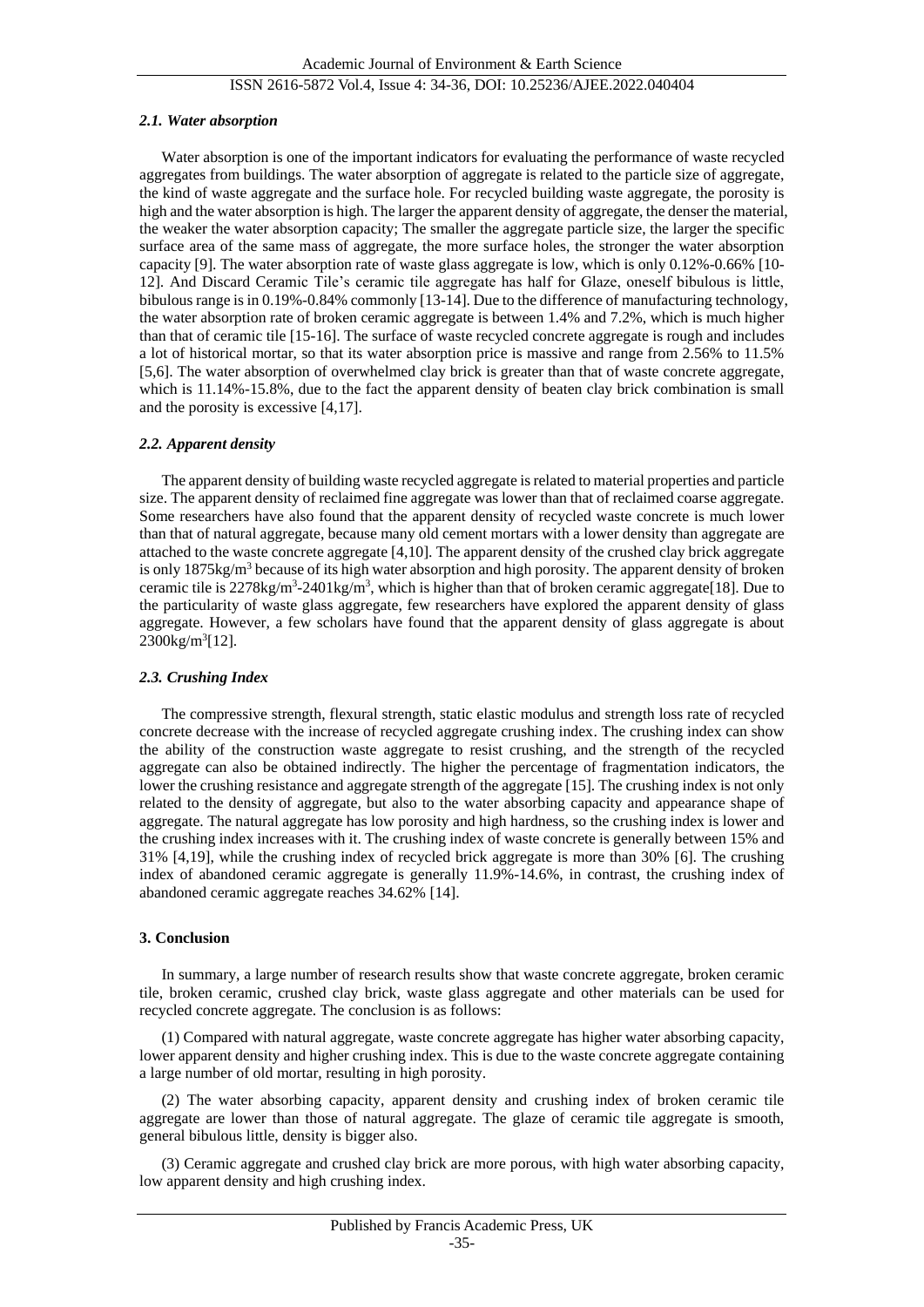#### ISSN 2616-5872 Vol.4, Issue 4: 34-36, DOI: 10.25236/AJEE.2022.040404

#### *2.1. Water absorption*

Water absorption is one of the important indicators for evaluating the performance of waste recycled aggregates from buildings. The water absorption of aggregate is related to the particle size of aggregate, the kind of waste aggregate and the surface hole. For recycled building waste aggregate, the porosity is high and the water absorption is high. The larger the apparent density of aggregate, the denser the material, the weaker the water absorption capacity; The smaller the aggregate particle size, the larger the specific surface area of the same mass of aggregate, the more surface holes, the stronger the water absorption capacity [9]. The water absorption rate of waste glass aggregate is low, which is only 0.12%-0.66% [10- 12]. And Discard Ceramic Tile's ceramic tile aggregate has half for Glaze, oneself bibulous is little, bibulous range is in 0.19%-0.84% commonly [13-14]. Due to the difference of manufacturing technology, the water absorption rate of broken ceramic aggregate is between 1.4% and 7.2%, which is much higher than that of ceramic tile [15-16]. The surface of waste recycled concrete aggregate is rough and includes a lot of historical mortar, so that its water absorption price is massive and range from 2.56% to 11.5% [5,6]. The water absorption of overwhelmed clay brick is greater than that of waste concrete aggregate, which is 11.14%-15.8%, due to the fact the apparent density of beaten clay brick combination is small and the porosity is excessive [4,17].

#### *2.2. Apparent density*

The apparent density of building waste recycled aggregate is related to material properties and particle size. The apparent density of reclaimed fine aggregate was lower than that of reclaimed coarse aggregate. Some researchers have also found that the apparent density of recycled waste concrete is much lower than that of natural aggregate, because many old cement mortars with a lower density than aggregate are attached to the waste concrete aggregate [4,10]. The apparent density of the crushed clay brick aggregate is only  $1875\text{kg/m}^3$  because of its high water absorption and high porosity. The apparent density of broken ceramic tile is  $2278\text{kg/m}^3$ - $2401\text{kg/m}^3$ , which is higher than that of broken ceramic aggregate[18]. Due to the particularity of waste glass aggregate, few researchers have explored the apparent density of glass aggregate. However, a few scholars have found that the apparent density of glass aggregate is about 2300kg/m<sup>3</sup> [12].

#### *2.3. Crushing Index*

The compressive strength, flexural strength, static elastic modulus and strength loss rate of recycled concrete decrease with the increase of recycled aggregate crushing index. The crushing index can show the ability of the construction waste aggregate to resist crushing, and the strength of the recycled aggregate can also be obtained indirectly. The higher the percentage of fragmentation indicators, the lower the crushing resistance and aggregate strength of the aggregate [15]. The crushing index is not only related to the density of aggregate, but also to the water absorbing capacity and appearance shape of aggregate. The natural aggregate has low porosity and high hardness, so the crushing index is lower and the crushing index increases with it. The crushing index of waste concrete is generally between 15% and 31% [4,19], while the crushing index of recycled brick aggregate is more than 30% [6]. The crushing index of abandoned ceramic aggregate is generally 11.9%-14.6%, in contrast, the crushing index of abandoned ceramic aggregate reaches 34.62% [14].

#### **3. Conclusion**

In summary, a large number of research results show that waste concrete aggregate, broken ceramic tile, broken ceramic, crushed clay brick, waste glass aggregate and other materials can be used for recycled concrete aggregate. The conclusion is as follows:

(1) Compared with natural aggregate, waste concrete aggregate has higher water absorbing capacity, lower apparent density and higher crushing index. This is due to the waste concrete aggregate containing a large number of old mortar, resulting in high porosity.

(2) The water absorbing capacity, apparent density and crushing index of broken ceramic tile aggregate are lower than those of natural aggregate. The glaze of ceramic tile aggregate is smooth, general bibulous little, density is bigger also.

(3) Ceramic aggregate and crushed clay brick are more porous, with high water absorbing capacity, low apparent density and high crushing index.